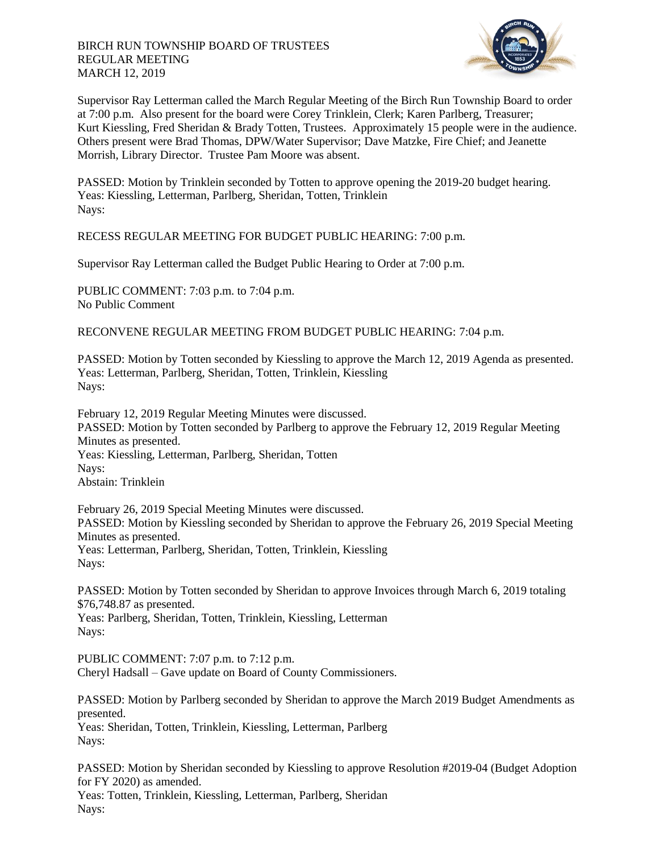

Supervisor Ray Letterman called the March Regular Meeting of the Birch Run Township Board to order at 7:00 p.m. Also present for the board were Corey Trinklein, Clerk; Karen Parlberg, Treasurer; Kurt Kiessling, Fred Sheridan & Brady Totten, Trustees. Approximately 15 people were in the audience. Others present were Brad Thomas, DPW/Water Supervisor; Dave Matzke, Fire Chief; and Jeanette Morrish, Library Director. Trustee Pam Moore was absent.

PASSED: Motion by Trinklein seconded by Totten to approve opening the 2019-20 budget hearing. Yeas: Kiessling, Letterman, Parlberg, Sheridan, Totten, Trinklein Nays:

RECESS REGULAR MEETING FOR BUDGET PUBLIC HEARING: 7:00 p.m.

Supervisor Ray Letterman called the Budget Public Hearing to Order at 7:00 p.m.

PUBLIC COMMENT: 7:03 p.m. to 7:04 p.m. No Public Comment

RECONVENE REGULAR MEETING FROM BUDGET PUBLIC HEARING: 7:04 p.m.

PASSED: Motion by Totten seconded by Kiessling to approve the March 12, 2019 Agenda as presented. Yeas: Letterman, Parlberg, Sheridan, Totten, Trinklein, Kiessling Nays:

February 12, 2019 Regular Meeting Minutes were discussed. PASSED: Motion by Totten seconded by Parlberg to approve the February 12, 2019 Regular Meeting Minutes as presented. Yeas: Kiessling, Letterman, Parlberg, Sheridan, Totten Nays: Abstain: Trinklein

February 26, 2019 Special Meeting Minutes were discussed. PASSED: Motion by Kiessling seconded by Sheridan to approve the February 26, 2019 Special Meeting Minutes as presented.

Yeas: Letterman, Parlberg, Sheridan, Totten, Trinklein, Kiessling Nays:

PASSED: Motion by Totten seconded by Sheridan to approve Invoices through March 6, 2019 totaling \$76,748.87 as presented.

Yeas: Parlberg, Sheridan, Totten, Trinklein, Kiessling, Letterman Nays:

PUBLIC COMMENT: 7:07 p.m. to 7:12 p.m. Cheryl Hadsall – Gave update on Board of County Commissioners.

PASSED: Motion by Parlberg seconded by Sheridan to approve the March 2019 Budget Amendments as presented.

Yeas: Sheridan, Totten, Trinklein, Kiessling, Letterman, Parlberg Nays:

PASSED: Motion by Sheridan seconded by Kiessling to approve Resolution #2019-04 (Budget Adoption for FY 2020) as amended.

Yeas: Totten, Trinklein, Kiessling, Letterman, Parlberg, Sheridan Nays: